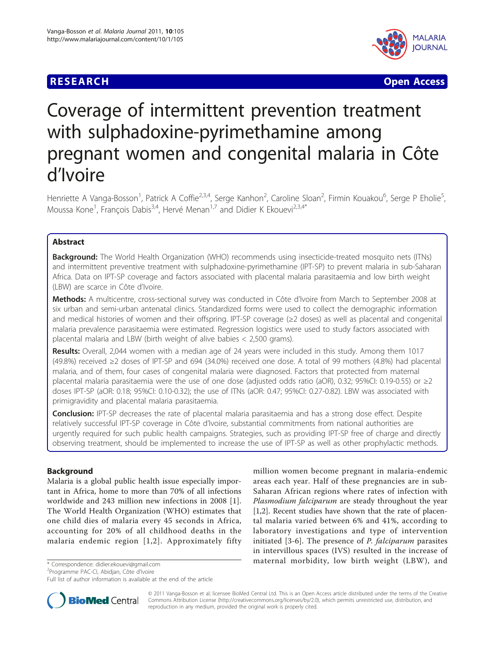# **RESEARCH CONSTRUCTION CONSTRUCTION CONSTRUCTS**



# Coverage of intermittent prevention treatment with sulphadoxine-pyrimethamine among pregnant women and congenital malaria in Côte d'Ivoire

Henriette A Vanga-Bosson<sup>1</sup>, Patrick A Coffie<sup>2,3,4</sup>, Serge Kanhon<sup>2</sup>, Caroline Sloan<sup>2</sup>, Firmin Kouakou<sup>6</sup>, Serge P Eholie<sup>5</sup> , Moussa Kone<sup>1</sup>, François Dabis<sup>3,4</sup>, Hervé Menan<sup>1,7</sup> and Didier K Ekouevi<sup>2,3,4\*</sup>

# Abstract

Background: The World Health Organization (WHO) recommends using insecticide-treated mosquito nets (ITNs) and intermittent preventive treatment with sulphadoxine-pyrimethamine (IPT-SP) to prevent malaria in sub-Saharan Africa. Data on IPT-SP coverage and factors associated with placental malaria parasitaemia and low birth weight (LBW) are scarce in Côte d'Ivoire.

Methods: A multicentre, cross-sectional survey was conducted in Côte d'Ivoire from March to September 2008 at six urban and semi-urban antenatal clinics. Standardized forms were used to collect the demographic information and medical histories of women and their offspring. IPT-SP coverage (≥2 doses) as well as placental and congenital malaria prevalence parasitaemia were estimated. Regression logistics were used to study factors associated with placental malaria and LBW (birth weight of alive babies < 2,500 grams).

Results: Overall, 2,044 women with a median age of 24 years were included in this study. Among them 1017 (49.8%) received ≥2 doses of IPT-SP and 694 (34.0%) received one dose. A total of 99 mothers (4.8%) had placental malaria, and of them, four cases of congenital malaria were diagnosed. Factors that protected from maternal placental malaria parasitaemia were the use of one dose (adjusted odds ratio (aOR), 0.32; 95%CI: 0.19-0.55) or ≥2 doses IPT-SP (aOR: 0.18; 95%CI: 0.10-0.32); the use of ITNs (aOR: 0.47; 95%CI: 0.27-0.82). LBW was associated with primigravidity and placental malaria parasitaemia.

**Conclusion:** IPT-SP decreases the rate of placental malaria parasitaemia and has a strong dose effect. Despite relatively successful IPT-SP coverage in Côte d'Ivoire, substantial commitments from national authorities are urgently required for such public health campaigns. Strategies, such as providing IPT-SP free of charge and directly observing treatment, should be implemented to increase the use of IPT-SP as well as other prophylactic methods.

# Background

Malaria is a global public health issue especially important in Africa, home to more than 70% of all infections worldwide and 243 million new infections in 2008 [[1](#page-8-0)]. The World Health Organization (WHO) estimates that one child dies of malaria every 45 seconds in Africa, accounting for 20% of all childhood deaths in the malaria endemic region [[1](#page-8-0),[2](#page-8-0)]. Approximately fifty

2 Programme PAC-CI, Abidjan, Côte d'Ivoire

Full list of author information is available at the end of the article

million women become pregnant in malaria-endemic areas each year. Half of these pregnancies are in sub-Saharan African regions where rates of infection with Plasmodium falciparum are steady throughout the year [[1,2\]](#page-8-0). Recent studies have shown that the rate of placental malaria varied between 6% and 41%, according to laboratory investigations and type of intervention initiated [\[3](#page-8-0)-[6](#page-8-0)]. The presence of *P. falciparum* parasites in intervillous spaces (IVS) resulted in the increase of maternal morbidity, low birth weight (LBW), and \* Correspondence: [didier.ekouevi@gmail.com](mailto:didier.ekouevi@gmail.com)



© 2011 Vanga-Bosson et al; licensee BioMed Central Ltd. This is an Open Access article distributed under the terms of the Creative Commons Attribution License [\(http://creativecommons.org/licenses/by/2.0](http://creativecommons.org/licenses/by/2.0)), which permits unrestricted use, distribution, and reproduction in any medium, provided the original work is properly cited.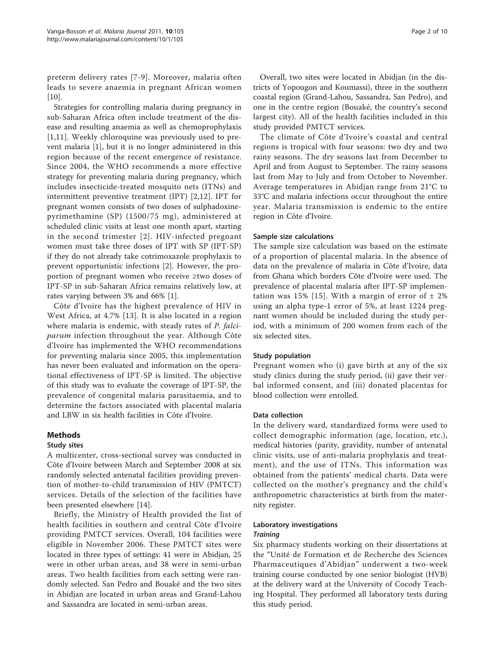preterm delivery rates [[7-9\]](#page-8-0). Moreover, malaria often leads to severe anaemia in pregnant African women [[10\]](#page-8-0).

Strategies for controlling malaria during pregnancy in sub-Saharan Africa often include treatment of the disease and resulting anaemia as well as chemoprophylaxis [[1,11](#page-8-0)]. Weekly chloroquine was previously used to prevent malaria [[1\]](#page-8-0), but it is no longer administered in this region because of the recent emergence of resistance. Since 2004, the WHO recommends a more effective strategy for preventing malaria during pregnancy, which includes insecticide-treated mosquito nets (ITNs) and intermittent preventive treatment (IPT) [[2,12](#page-8-0)]. IPT for pregnant women consists of two doses of sulphadoxinepyrimethamine (SP) (1500/75 mg), administered at scheduled clinic visits at least one month apart, starting in the second trimester [[2](#page-8-0)]. HIV-infected pregnant women must take three doses of IPT with SP (IPT-SP) if they do not already take cotrimoxazole prophylaxis to prevent opportunistic infections [[2\]](#page-8-0). However, the proportion of pregnant women who receive ≥two doses of IPT-SP in sub-Saharan Africa remains relatively low, at rates varying between 3% and 66% [[1\]](#page-8-0).

Côte d'Ivoire has the highest prevalence of HIV in West Africa, at 4.7% [[13](#page-9-0)]. It is also located in a region where malaria is endemic, with steady rates of *P. falci*parum infection throughout the year. Although Côte d'Ivoire has implemented the WHO recommendations for preventing malaria since 2005, this implementation has never been evaluated and information on the operational effectiveness of IPT-SP is limited. The objective of this study was to evaluate the coverage of IPT-SP, the prevalence of congenital malaria parasitaemia, and to determine the factors associated with placental malaria and LBW in six health facilities in Côte d'Ivoire.

# Methods

# Study sites

A multicenter, cross-sectional survey was conducted in Côte d'Ivoire between March and September 2008 at six randomly selected antenatal facilities providing prevention of mother-to-child transmission of HIV (PMTCT) services. Details of the selection of the facilities have been presented elsewhere [[14\]](#page-9-0).

Briefly, the Ministry of Health provided the list of health facilities in southern and central Côte d'Ivoire providing PMTCT services. Overall, 104 facilities were eligible in November 2006. These PMTCT sites were located in three types of settings: 41 were in Abidjan, 25 were in other urban areas, and 38 were in semi-urban areas. Two health facilities from each setting were randomly selected. San Pedro and Bouaké and the two sites in Abidjan are located in urban areas and Grand-Lahou and Sassandra are located in semi-urban areas.

Overall, two sites were located in Abidjan (in the districts of Yopougon and Koumassi), three in the southern coastal region (Grand-Lahou, Sassandra, San Pedro), and one in the centre region (Bouaké, the country's second largest city). All of the health facilities included in this study provided PMTCT services.

The climate of Côte d'Ivoire's coastal and central regions is tropical with four seasons: two dry and two rainy seasons. The dry seasons last from December to April and from August to September. The rainy seasons last from May to July and from October to November. Average temperatures in Abidjan range from 21°C to 33°C and malaria infections occur throughout the entire year. Malaria transmission is endemic to the entire region in Côte d'Ivoire.

# Sample size calculations

The sample size calculation was based on the estimate of a proportion of placental malaria. In the absence of data on the prevalence of malaria in Côte d'Ivoire, data from Ghana which borders Côte d'Ivoire were used. The prevalence of placental malaria after IPT-SP implemen-tation was 15% [[15\]](#page-9-0). With a margin of error of  $\pm 2\%$ using an alpha type-1 error of 5%, at least 1224 pregnant women should be included during the study period, with a minimum of 200 women from each of the six selected sites.

# Study population

Pregnant women who (i) gave birth at any of the six study clinics during the study period, (ii) gave their verbal informed consent, and (iii) donated placentas for blood collection were enrolled.

#### Data collection

In the delivery ward, standardized forms were used to collect demographic information (age, location, etc.), medical histories (parity, gravidity, number of antenatal clinic visits, use of anti-malaria prophylaxis and treatment), and the use of ITNs. This information was obtained from the patients' medical charts. Data were collected on the mother's pregnancy and the child's anthropometric characteristics at birth from the maternity register.

# Laboratory investigations

# **Training**

Six pharmacy students working on their dissertations at the "Unité de Formation et de Recherche des Sciences Pharmaceutiques d'Abidjan" underwent a two-week training course conducted by one senior biologist (HVB) at the delivery ward at the University of Cocody Teaching Hospital. They performed all laboratory tests during this study period.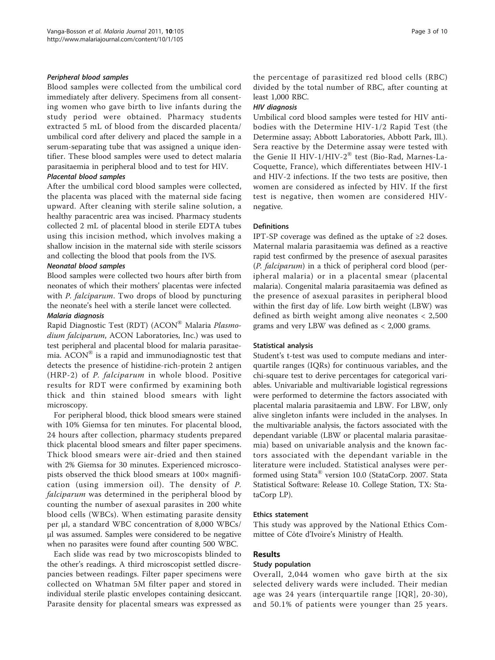#### Peripheral blood samples

Blood samples were collected from the umbilical cord immediately after delivery. Specimens from all consenting women who gave birth to live infants during the study period were obtained. Pharmacy students extracted 5 mL of blood from the discarded placenta/ umbilical cord after delivery and placed the sample in a serum-separating tube that was assigned a unique identifier. These blood samples were used to detect malaria parasitaemia in peripheral blood and to test for HIV.

# Placental blood samples

After the umbilical cord blood samples were collected, the placenta was placed with the maternal side facing upward. After cleaning with sterile saline solution, a healthy paracentric area was incised. Pharmacy students collected 2 mL of placental blood in sterile EDTA tubes using this incision method, which involves making a shallow incision in the maternal side with sterile scissors and collecting the blood that pools from the IVS.

#### Neonatal blood samples

Blood samples were collected two hours after birth from neonates of which their mothers' placentas were infected with *P. falciparum*. Two drops of blood by puncturing the neonate's heel with a sterile lancet were collected.

#### Malaria diagnosis

Rapid Diagnostic Test (RDT) (ACON® Malaria Plasmodium falciparum, ACON Laboratories, Inc.) was used to test peripheral and placental blood for malaria parasitaemia. ACON® is a rapid and immunodiagnostic test that detects the presence of histidine-rich-protein 2 antigen (HRP-2) of P. falciparum in whole blood. Positive results for RDT were confirmed by examining both thick and thin stained blood smears with light microscopy.

For peripheral blood, thick blood smears were stained with 10% Giemsa for ten minutes. For placental blood, 24 hours after collection, pharmacy students prepared thick placental blood smears and filter paper specimens. Thick blood smears were air-dried and then stained with 2% Giemsa for 30 minutes. Experienced microscopists observed the thick blood smears at 100× magnification (using immersion oil). The density of P. falciparum was determined in the peripheral blood by counting the number of asexual parasites in 200 white blood cells (WBCs). When estimating parasite density per μl, a standard WBC concentration of 8,000 WBCs/ μl was assumed. Samples were considered to be negative when no parasites were found after counting 500 WBC.

Each slide was read by two microscopists blinded to the other's readings. A third microscopist settled discrepancies between readings. Filter paper specimens were collected on Whatman 5M filter paper and stored in individual sterile plastic envelopes containing desiccant. Parasite density for placental smears was expressed as the percentage of parasitized red blood cells (RBC) divided by the total number of RBC, after counting at least 1,000 RBC.

#### HIV diagnosis

Umbilical cord blood samples were tested for HIV antibodies with the Determine HIV-1/2 Rapid Test (the Determine assay; Abbott Laboratories, Abbott Park, Ill.). Sera reactive by the Determine assay were tested with the Genie II HIV-1/HIV-2® test (Bio-Rad, Marnes-La-Coquette, France), which differentiates between HIV-1 and HIV-2 infections. If the two tests are positive, then women are considered as infected by HIV. If the first test is negative, then women are considered HIVnegative.

#### Definitions

IPT-SP coverage was defined as the uptake of ≥2 doses. Maternal malaria parasitaemia was defined as a reactive rapid test confirmed by the presence of asexual parasites (P. falciparum) in a thick of peripheral cord blood (peripheral malaria) or in a placental smear (placental malaria). Congenital malaria parasitaemia was defined as the presence of asexual parasites in peripheral blood within the first day of life. Low birth weight (LBW) was defined as birth weight among alive neonates < 2,500 grams and very LBW was defined as < 2,000 grams.

# Statistical analysis

Student's t-test was used to compute medians and interquartile ranges (IQRs) for continuous variables, and the chi-square test to derive percentages for categorical variables. Univariable and multivariable logistical regressions were performed to determine the factors associated with placental malaria parasitaemia and LBW. For LBW, only alive singleton infants were included in the analyses. In the multivariable analysis, the factors associated with the dependant variable (LBW or placental malaria parasitaemia) based on univariable analysis and the known factors associated with the dependant variable in the literature were included. Statistical analyses were performed using Stata® version 10.0 (StataCorp. 2007. Stata Statistical Software: Release 10. College Station, TX: StataCorp LP).

#### Ethics statement

This study was approved by the National Ethics Committee of Côte d'Ivoire's Ministry of Health.

# Results

### Study population

Overall, 2,044 women who gave birth at the six selected delivery wards were included. Their median age was 24 years (interquartile range [IQR], 20-30), and 50.1% of patients were younger than 25 years.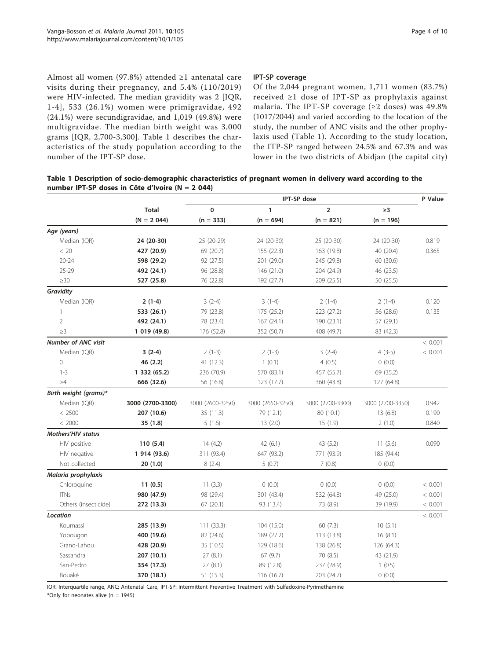<span id="page-3-0"></span>Almost all women (97.8%) attended ≥1 antenatal care visits during their pregnancy, and 5.4% (110/2019) were HIV-infected. The median gravidity was 2 [IQR, 1-4], 533 (26.1%) women were primigravidae, 492 (24.1%) were secundigravidae, and 1,019 (49.8%) were multigravidae. The median birth weight was 3,000 grams [IQR, 2,700-3,300]. Table 1 describes the characteristics of the study population according to the number of the IPT-SP dose.

# IPT-SP coverage

Of the 2,044 pregnant women, 1,711 women (83.7%) received ≥1 dose of IPT-SP as prophylaxis against malaria. The IPT-SP coverage (≥2 doses) was 49.8% (1017/2044) and varied according to the location of the study, the number of ANC visits and the other prophylaxis used (Table 1). According to the study location, the ITP-SP ranged between 24.5% and 67.3% and was lower in the two districts of Abidjan (the capital city)

Table 1 Description of socio-demographic characteristics of pregnant women in delivery ward according to the number IPT-SP doses in Côte d'Ivoire (N = 2 044)

|                            |                  | IPT-SP dose      |                  |                  |                  |         |  |  |  |
|----------------------------|------------------|------------------|------------------|------------------|------------------|---------|--|--|--|
|                            | <b>Total</b>     | 0                | $\mathbf{1}$     | $\overline{2}$   | $\geq$ 3         |         |  |  |  |
|                            | $(N = 2 044)$    | $(n = 333)$      | $(n = 694)$      | $(n = 821)$      | $(n = 196)$      |         |  |  |  |
| Age (years)                |                  |                  |                  |                  |                  |         |  |  |  |
| Median (IQR)               | 24 (20-30)       | 25 (20-29)       | 24 (20-30)       | 25 (20-30)       | 24 (20-30)       | 0.819   |  |  |  |
| < 20                       | 427 (20.9)       | 69 (20.7)        | 155 (22.3)       | 163 (19.8)       | 40 (20.4)        | 0.365   |  |  |  |
| $20 - 24$                  | 598 (29.2)       | 92 (27.5)        | 201 (29.0)       | 245 (29.8)       | 60 (30.6)        |         |  |  |  |
| $25 - 29$                  | 492 (24.1)       | 96 (28.8)        | 146 (21.0)       | 204 (24.9)       | 46 (23.5)        |         |  |  |  |
| $\geq 30$                  | 527 (25.8)       | 76 (22.8)        | 192 (27.7)       | 209 (25.5)       | 50 (25.5)        |         |  |  |  |
| Gravidity                  |                  |                  |                  |                  |                  |         |  |  |  |
| Median (IQR)               | $2(1-4)$         | $3(2-4)$         | $3(1-4)$         | $2(1-4)$         | $2(1-4)$         | 0.120   |  |  |  |
| $\mathbf{1}$               | 533 (26.1)       | 79 (23.8)        | 175 (25.2)       | 223 (27.2)       | 56 (28.6)        | 0.135   |  |  |  |
| $\overline{2}$             | 492 (24.1)       | 78 (23.4)        | 167 (24.1)       | 190 (23.1)       | 57 (29.1)        |         |  |  |  |
| $\geq$ 3                   | 1 019 (49.8)     | 176 (52.8)       | 352 (50.7)       | 408 (49.7)       | 83 (42.3)        |         |  |  |  |
| <b>Number of ANC visit</b> |                  |                  |                  |                  |                  | < 0.001 |  |  |  |
| Median (IQR)               | $3(2-4)$         | $2(1-3)$         | $2(1-3)$         | $3(2-4)$         | $4(3-5)$         | < 0.001 |  |  |  |
| 0                          | 46 (2.2)         | 41 (12.3)        | 1(0.1)           | 4(0.5)           | 0(0.0)           |         |  |  |  |
| $1 - 3$                    | 1 332 (65.2)     | 236 (70.9)       | 570 (83.1)       | 457 (55.7)       | 69 (35.2)        |         |  |  |  |
| $\geq 4$                   | 666 (32.6)       | 56 (16.8)        | 123 (17.7)       | 360 (43.8)       | 127 (64.8)       |         |  |  |  |
| Birth weight (grams)*      |                  |                  |                  |                  |                  |         |  |  |  |
| Median (IQR)               | 3000 (2700-3300) | 3000 (2600-3250) | 3000 (2650-3250) | 3000 (2700-3300) | 3000 (2700-3350) | 0.942   |  |  |  |
| < 2500                     | 207 (10.6)       | 35 (11.3)        | 79 (12.1)        | 80 (10.1)        | 13(6.8)          | 0.190   |  |  |  |
| < 2000                     | 35 (1.8)         | 5(1.6)           | 13(2.0)          | 15(1.9)          | 2(1.0)           | 0.840   |  |  |  |
| <b>Mothers'HIV status</b>  |                  |                  |                  |                  |                  |         |  |  |  |
| HIV positive               | 110 (5.4)        | 14(4.2)          | 42 (6.1)         | 43 (5.2)         | 11(5.6)          | 0.090   |  |  |  |
| HIV negative               | 1 914 (93.6)     | 311 (93.4)       | 647 (93.2)       | 771 (93.9)       | 185 (94.4)       |         |  |  |  |
| Not collected              | 20 (1.0)         | 8(2.4)           | 5(0.7)           | 7(0.8)           | 0(0.0)           |         |  |  |  |
| Malaria prophylaxis        |                  |                  |                  |                  |                  |         |  |  |  |
| Chloroquine                | 11(0.5)          | 11(3.3)          | 0(0.0)           | 0(0.0)           | 0(0.0)           | < 0.001 |  |  |  |
| <b>ITNs</b>                | 980 (47.9)       | 98 (29.4)        | 301 (43.4)       | 532 (64.8)       | 49 (25.0)        | < 0.001 |  |  |  |
| Others (insecticide)       | 272 (13.3)       | 67(20.1)         | 93 (13.4)        | 73 (8.9)         | 39 (19.9)        | < 0.001 |  |  |  |
| Location                   |                  |                  |                  |                  |                  | < 0.001 |  |  |  |
| Koumassi                   | 285 (13.9)       | 111(33.3)        | 104 (15.0)       | 60(7.3)          | 10(5.1)          |         |  |  |  |
| Yopougon                   | 400 (19.6)       | 82 (24.6)        | 189 (27.2)       | 113 (13.8)       | 16(8.1)          |         |  |  |  |
| Grand-Lahou                | 428 (20.9)       | 35 (10.5)        | 129 (18.6)       | 138 (26.8)       | 126 (64.3)       |         |  |  |  |
| Sassandra                  | 207 (10.1)       | 27(8.1)          | 67(9.7)          | 70 (8.5)         | 43 (21.9)        |         |  |  |  |
| San-Pedro                  | 354 (17.3)       | 27(8.1)          | 89 (12.8)        | 237 (28.9)       | 1(0.5)           |         |  |  |  |
| Bouaké                     | 370 (18.1)       | 51 (15.3)        | 116 (16.7)       | 203 (24.7)       | 0(0.0)           |         |  |  |  |

IQR: Interquartile range, ANC: Antenatal Care, IPT-SP: Intermittent Preventive Treatment with Sulfadoxine-Pyrimethamine

\*Only for neonates alive ( $n = 1945$ )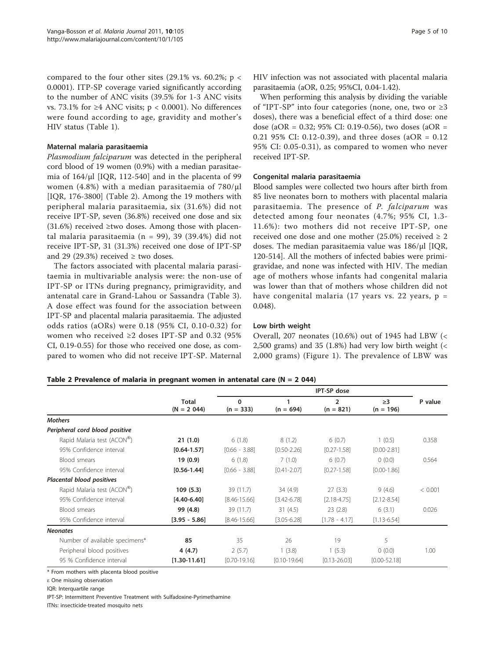compared to the four other sites (29.1% vs. 60.2%;  $p <$ 0.0001). ITP-SP coverage varied significantly according to the number of ANC visits (39.5% for 1-3 ANC visits vs. 73.1% for ≥4 ANC visits;  $p$  < 0.0001). No differences were found according to age, gravidity and mother's HIV status (Table [1](#page-3-0)).

#### Maternal malaria parasitaemia

Plasmodium falciparum was detected in the peripheral cord blood of 19 women (0.9%) with a median parasitaemia of 164/μl [IQR, 112-540] and in the placenta of 99 women (4.8%) with a median parasitaemia of 780/μl [IQR, 176-3800] (Table 2). Among the 19 mothers with peripheral malaria parasitaemia, six (31.6%) did not receive IPT-SP, seven (36.8%) received one dose and six  $(31.6\%)$  received ≥two doses. Among those with placental malaria parasitaemia (n = 99), 39 (39.4%) did not receive IPT-SP, 31 (31.3%) received one dose of IPT-SP and 29 (29.3%) received  $\ge$  two doses.

The factors associated with placental malaria parasitaemia in multivariable analysis were: the non-use of IPT-SP or ITNs during pregnancy, primigravidity, and antenatal care in Grand-Lahou or Sassandra (Table [3](#page-5-0)). A dose effect was found for the association between IPT-SP and placental malaria parasitaemia. The adjusted odds ratios (aORs) were 0.18 (95% CI, 0.10-0.32) for women who received ≥2 doses IPT-SP and 0.32 (95% CI, 0.19-0.55) for those who received one dose, as compared to women who did not receive IPT-SP. Maternal

When performing this analysis by dividing the variable of "IPT-SP" into four categories (none, one, two or  $\geq 3$ doses), there was a beneficial effect of a third dose: one dose (aOR = 0.32; 95% CI: 0.19-0.56), two doses (aOR = 0.21 95% CI: 0.12-0.39), and three doses (aOR =  $0.12$ 95% CI: 0.05-0.31), as compared to women who never received IPT-SP.

#### Congenital malaria parasitaemia

Blood samples were collected two hours after birth from 85 live neonates born to mothers with placental malaria parasitaemia. The presence of P. falciparum was detected among four neonates (4.7%; 95% CI, 1.3- 11.6%): two mothers did not receive IPT-SP, one received one dose and one mother (25.0%) received  $\geq 2$ doses. The median parasitaemia value was 186/μl [IQR, 120-514]. All the mothers of infected babies were primigravidae, and none was infected with HIV. The median age of mothers whose infants had congenital malaria was lower than that of mothers whose children did not have congenital malaria (17 years vs. 22 years,  $p =$ 0.048).

#### Low birth weight

Overall, 207 neonates (10.6%) out of 1945 had LBW (< 2,500 grams) and 35 (1.8%) had very low birth weight (< 2,000 grams) (Figure [1\)](#page-6-0). The prevalence of LBW was

| Table 2 Prevalence of malaria in pregnant women in antenatal care ( $N = 2044$ ) |  |  |  |  |
|----------------------------------------------------------------------------------|--|--|--|--|
|                                                                                  |  |  |  |  |

|                                | <b>Total</b><br>$(N = 2 044)$ | 0<br>$(n = 333)$ | 1<br>$(n = 694)$ | 2<br>$(n = 821)$ | $\geq$ 3<br>$(n = 196)$ | P value |
|--------------------------------|-------------------------------|------------------|------------------|------------------|-------------------------|---------|
| <b>Mothers</b>                 |                               |                  |                  |                  |                         |         |
| Peripheral cord blood positive |                               |                  |                  |                  |                         |         |
| Rapid Malaria test (ACON®)     | 21(1.0)                       | 6(1.8)           | 8(1.2)           | 6(0.7)           | 1(0.5)                  | 0.358   |
| 95% Confidence interval        | $[0.64 - 1.57]$               | $[0.66 - 3.88]$  | $[0.50 - 2.26]$  | $[0.27 - 1.58]$  | $[0.00 - 2.81]$         |         |
| Blood smears                   | 19(0.9)                       | 6(1.8)           | 7(1.0)           | 6(0.7)           | 0(0.0)                  | 0.564   |
| 95% Confidence interval        | $[0.56 - 1.44]$               | $[0.66 - 3.88]$  | $[0.41 - 2.07]$  | $[0.27 - 1.58]$  | $[0.00 - 1.86]$         |         |
| Placental blood positives      |                               |                  |                  |                  |                         |         |
| Rapid Malaria test (ACON®)     | 109(5.3)                      | 39 (11.7)        | 34 (4.9)         | 27(3.3)          | 9(4.6)                  | < 0.001 |
| 95% Confidence interval        | $[4.40 - 6.40]$               | $[8.46 - 15.66]$ | $[3.42 - 6.78]$  | $[2.18 - 4.75]$  | $[2.12 - 8.54]$         |         |
| Blood smears                   | 99 (4.8)                      | 39 (11.7)        | 31(4.5)          | 23(2.8)          | 6(3.1)                  | 0.026   |
| 95% Confidence interval        | $[3.95 - 5.86]$               | $[8.46 - 15.66]$ | $[3.05 - 6.28]$  | $[1.78 - 4.17]$  | $[1.13 - 6.54]$         |         |
| <b>Neonates</b>                |                               |                  |                  |                  |                         |         |
| Number of available specimens* | 85                            | 35               | 26               | 19               | 5                       |         |
| Peripheral blood positives     | 4(4.7)                        | 2(5.7)           | 1(3.8)           | 1(5.3)           | 0(0.0)                  | 1.00    |
| 95 % Confidence interval       | $[1.30 - 11.61]$              | $[0.70 - 19.16]$ | $[0.10 - 19.64]$ | $[0.13 - 26.03]$ | $[0.00 - 52.18]$        |         |

\* From mothers with placenta blood positive

ε One missing observation

IQR: Interquartile range

IPT-SP: Intermittent Preventive Treatment with Sulfadoxine-Pyrimethamine

ITNs: insecticide-treated mosquito nets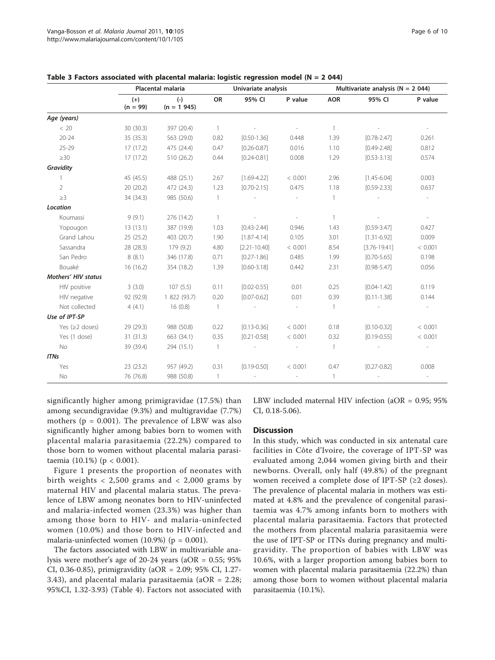|                            | Placental malaria   |                       |                | Univariate analysis      |                          | Multivariate analysis ( $N = 2044$ ) |                          |         |  |
|----------------------------|---------------------|-----------------------|----------------|--------------------------|--------------------------|--------------------------------------|--------------------------|---------|--|
|                            | $(+)$<br>$(n = 99)$ | $(-)$<br>$(n = 1945)$ | OR             | 95% CI                   | P value                  | <b>AOR</b>                           | 95% CI                   | P value |  |
| Age (years)                |                     |                       |                |                          |                          |                                      |                          |         |  |
| < 20                       | 30 (30.3)           | 397 (20.4)            | $\overline{1}$ |                          | $\sim$                   | $\mathbf{1}$                         |                          |         |  |
| $20 - 24$                  | 35 (35.3)           | 563 (29.0)            | 0.82           | $[0.50 - 1.36]$          | 0.448                    | 1.39                                 | $[0.78 - 2.47]$          | 0.261   |  |
| $25 - 29$                  | 17(17.2)            | 475 (24.4)            | 0.47           | $[0.26 - 0.87]$          | 0.016                    | 1.10                                 | $[0.49 - 2.48]$          | 0.812   |  |
| $\geq 30$                  | 17 (17.2)           | 510 (26.2)            | 0.44           | $[0.24 - 0.81]$          | 0.008                    | 1.29                                 | $[0.53 - 3.13]$          | 0.574   |  |
| Gravidity                  |                     |                       |                |                          |                          |                                      |                          |         |  |
|                            | 45 (45.5)           | 488 (25.1)            | 2.67           | $[1.69 - 4.22]$          | < 0.001                  | 2.96                                 | $[1.45 - 6.04]$          | 0.003   |  |
| $\overline{2}$             | 20(20.2)            | 472 (24.3)            | 1.23           | $[0.70 - 2.15]$          | 0.475                    | 1.18                                 | $[0.59 - 2.33]$          | 0.637   |  |
| $\geq$ 3                   | 34 (34.3)           | 985 (50.6)            | $\overline{1}$ |                          |                          | $\mathbf{1}$                         | $\overline{\phantom{a}}$ |         |  |
| Location                   |                     |                       |                |                          |                          |                                      |                          |         |  |
| Koumassi                   | 9(9.1)              | 276 (14.2)            | $\mathbf{1}$   | $\overline{\phantom{a}}$ | $\overline{\phantom{a}}$ | $\mathbf{1}$                         |                          |         |  |
| Yopougon                   | 13(13.1)            | 387 (19.9)            | 1.03           | $[0.43 - 2.44]$          | 0.946                    | 1.43                                 | $[0.59 - 3.47]$          | 0.427   |  |
| Grand Lahou                | 25 (25.2)           | 403 (20.7)            | 1.90           | $[1.87 - 4.14]$          | 0.105                    | 3.01                                 | $[1.31 - 6.92]$          | 0.009   |  |
| Sassandra                  | 28 (28.3)           | 179 (9.2)             | 4.80           | $[2.21 - 10.40]$         | < 0.001                  | 8.54                                 | $[3.76 - 19.41]$         | < 0.001 |  |
| San Pedro                  | 8(8.1)              | 346 (17.8)            | 0.71           | $[0.27 - 1.86]$          | 0.485                    | 1.99                                 | $[0.70 - 5.65]$          | 0.198   |  |
| Bouaké                     | 16 (16.2)           | 354 (18.2)            | 1.39           | $[0.60 - 3.18]$          | 0.442                    | 2.31                                 | $[0.98 - 5.47]$          | 0.056   |  |
| <b>Mothers' HIV status</b> |                     |                       |                |                          |                          |                                      |                          |         |  |
| HIV positive               | 3(3.0)              | 107(5.5)              | 0.11           | $[0.02 - 0.55]$          | 0.01                     | 0.25                                 | $[0.04 - 1.42]$          | 0.119   |  |
| HIV negative               | 92 (92.9)           | 1 822 (93.7)          | 0.20           | $[0.07 - 0.62]$          | 0.01                     | 0.39                                 | $[0.11 - 1.38]$          | 0.144   |  |
| Not collected              | 4(4.1)              | 16(0.8)               | $\overline{1}$ |                          |                          | $\mathbf{1}$                         |                          |         |  |
| Use of IPT-SP              |                     |                       |                |                          |                          |                                      |                          |         |  |
| Yes $(≥2$ doses)           | 29 (29.3)           | 988 (50.8)            | 0.22           | $[0.13 - 0.36]$          | < 0.001                  | 0.18                                 | $[0.10 - 0.32]$          | < 0.001 |  |
| Yes (1 dose)               | 31 (31.3)           | 663 (34.1)            | 0.35           | $[0.21 - 0.58]$          | < 0.001                  | 0.32                                 | $[0.19 - 0.55]$          | < 0.001 |  |
| <b>No</b>                  | 39 (39.4)           | 294 (15.1)            | $\overline{1}$ |                          |                          | $\mathbf{1}$                         |                          |         |  |
| <b>ITNs</b>                |                     |                       |                |                          |                          |                                      |                          |         |  |
| Yes                        | 23 (23.2)           | 957 (49.2)            | 0.31           | $[0.19 - 0.50]$          | < 0.001                  | 0.47                                 | $[0.27 - 0.82]$          | 0.008   |  |
| <b>No</b>                  | 76 (76.8)           | 988 (50.8)            | $\overline{1}$ |                          |                          | $\mathbf{1}$                         |                          |         |  |

<span id="page-5-0"></span>Table 3 Factors associated with placental malaria: logistic regression model ( $N = 2044$ )

significantly higher among primigravidae (17.5%) than among secundigravidae (9.3%) and multigravidae (7.7%) mothers ( $p = 0.001$ ). The prevalence of LBW was also significantly higher among babies born to women with placental malaria parasitaemia (22.2%) compared to those born to women without placental malaria parasitaemia (10.1%) ( $p < 0.001$ ).

Figure [1](#page-6-0) presents the proportion of neonates with birth weights  $\langle 2,500 \rangle$  grams and  $\langle 2,000 \rangle$  grams by maternal HIV and placental malaria status. The prevalence of LBW among neonates born to HIV-uninfected and malaria-infected women (23.3%) was higher than among those born to HIV- and malaria-uninfected women (10.0%) and those born to HIV-infected and malaria-uninfected women  $(10.9%)$  ( $p = 0.001$ ).

The factors associated with LBW in multivariable analysis were mother's age of 20-24 years ( $aOR = 0.55$ ; 95%) CI, 0.36-0.85), primigravidity (aOR = 2.09; 95% CI, 1.27- 3.43), and placental malaria parasitaemia (aOR =  $2.28$ ; 95%CI, 1.32-3.93) (Table [4](#page-7-0)). Factors not associated with LBW included maternal HIV infection ( $aOR = 0.95$ ; 95% CI, 0.18-5.06).

#### **Discussion**

In this study, which was conducted in six antenatal care facilities in Côte d'Ivoire, the coverage of IPT-SP was evaluated among 2,044 women giving birth and their newborns. Overall, only half (49.8%) of the pregnant women received a complete dose of IPT-SP ( $\geq 2$  doses). The prevalence of placental malaria in mothers was estimated at 4.8% and the prevalence of congenital parasitaemia was 4.7% among infants born to mothers with placental malaria parasitaemia. Factors that protected the mothers from placental malaria parasitaemia were the use of IPT-SP or ITNs during pregnancy and multigravidity. The proportion of babies with LBW was 10.6%, with a larger proportion among babies born to women with placental malaria parasitaemia (22.2%) than among those born to women without placental malaria parasitaemia (10.1%).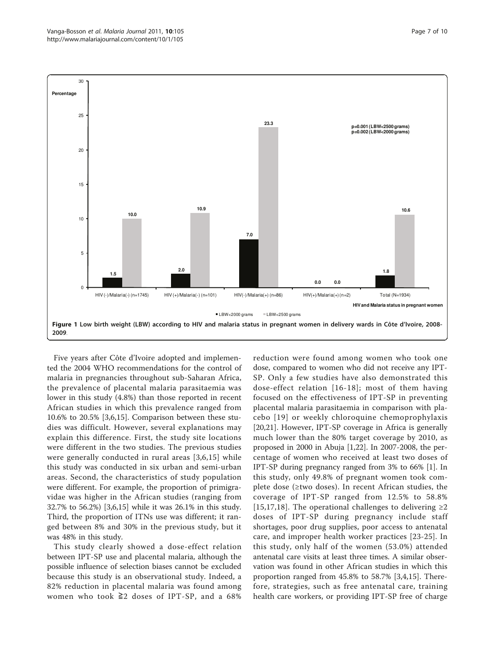<span id="page-6-0"></span>

Five years after Côte d'Ivoire adopted and implemented the 2004 WHO recommendations for the control of malaria in pregnancies throughout sub-Saharan Africa, the prevalence of placental malaria parasitaemia was lower in this study (4.8%) than those reported in recent African studies in which this prevalence ranged from 10.6% to 20.5% [[3,6](#page-8-0)[,15](#page-9-0)]. Comparison between these studies was difficult. However, several explanations may explain this difference. First, the study site locations were different in the two studies. The previous studies were generally conducted in rural areas [[3,6](#page-8-0),[15](#page-9-0)] while this study was conducted in six urban and semi-urban areas. Second, the characteristics of study population were different. For example, the proportion of primigravidae was higher in the African studies (ranging from 32.7% to 56.2%) [\[3,6](#page-8-0)[,15](#page-9-0)] while it was 26.1% in this study. Third, the proportion of ITNs use was different; it ranged between 8% and 30% in the previous study, but it was 48% in this study.

This study clearly showed a dose-effect relation between IPT-SP use and placental malaria, although the possible influence of selection biases cannot be excluded because this study is an observational study. Indeed, a 82% reduction in placental malaria was found among women who took ≧2 doses of IPT-SP, and a 68% reduction were found among women who took one dose, compared to women who did not receive any IPT-SP. Only a few studies have also demonstrated this dose-effect relation [[16-18\]](#page-9-0); most of them having focused on the effectiveness of IPT-SP in preventing placental malaria parasitaemia in comparison with placebo [[19\]](#page-9-0) or weekly chloroquine chemoprophylaxis [[20,21\]](#page-9-0). However, IPT-SP coverage in Africa is generally much lower than the 80% target coverage by 2010, as proposed in 2000 in Abuja [[1,](#page-8-0)[22\]](#page-9-0). In 2007-2008, the percentage of women who received at least two doses of IPT-SP during pregnancy ranged from 3% to 66% [\[1](#page-8-0)]. In this study, only 49.8% of pregnant women took complete dose (≥two doses). In recent African studies, the coverage of IPT-SP ranged from 12.5% to 58.8% [[15](#page-9-0),[17,18](#page-9-0)]. The operational challenges to delivering  $\geq 2$ doses of IPT-SP during pregnancy include staff shortages, poor drug supplies, poor access to antenatal care, and improper health worker practices [[23-25\]](#page-9-0). In this study, only half of the women (53.0%) attended antenatal care visits at least three times. A similar observation was found in other African studies in which this proportion ranged from 45.8% to 58.7% [\[3](#page-8-0),[4](#page-8-0),[15\]](#page-9-0). Therefore, strategies, such as free antenatal care, training health care workers, or providing IPT-SP free of charge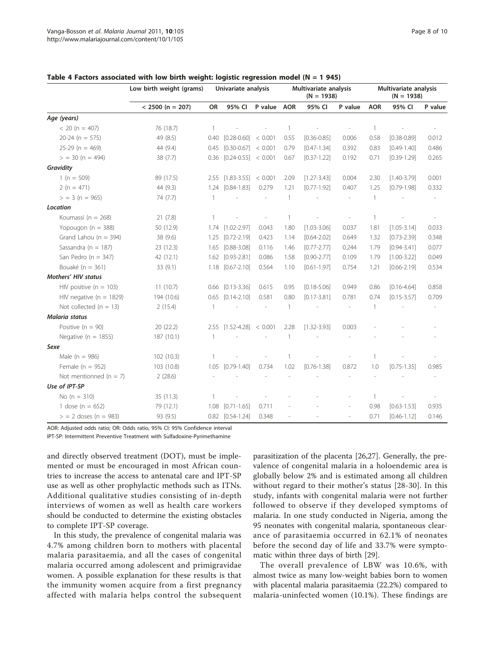|                             | Low birth weight (grams) |              | Univariate analysis  |             | Multivariate analysis<br>$(N = 1938)$ |                 |                          | Multivariate analysis<br>$(N = 1938)$ |                 |                          |
|-----------------------------|--------------------------|--------------|----------------------|-------------|---------------------------------------|-----------------|--------------------------|---------------------------------------|-----------------|--------------------------|
|                             | $< 2500 (n = 207)$       | <b>OR</b>    | 95% CI               | P value AOR |                                       | 95% CI          | P value                  | <b>AOR</b>                            | 95% CI          | P value                  |
| Age (years)                 |                          |              |                      |             |                                       |                 |                          |                                       |                 |                          |
| $<$ 20 (n = 407)            | 76 (18.7)                | -1           |                      |             | $\mathbf{1}$                          |                 | Ĭ.                       | 1                                     |                 |                          |
| $20-24$ (n = 575)           | 49 (8.5)                 | 0.40         | $[0.28 - 0.60]$      | < 0.001     | 0.55                                  | $[0.36 - 0.85]$ | 0.006                    | 0.58                                  | $[0.38 - 0.89]$ | 0.012                    |
| $25-29$ (n = 469)           | 44 (9.4)                 | 0.45         | $[0.30 - 0.67]$      | < 0.001     | 0.79                                  | $[0.47 - 1.34]$ | 0.392                    | 0.83                                  | $[0.49 - 1.40]$ | 0.486                    |
| $>$ = 30 (n = 494)          | 38(7.7)                  | 0.36         | $[0.24 - 0.55]$      | < 0.001     | 0.67                                  | $[0.37 - 1.22]$ | 0.192                    | 0.71                                  | $[0.39 - 1.29]$ | 0.265                    |
| Gravidity                   |                          |              |                      |             |                                       |                 |                          |                                       |                 |                          |
| 1 (n = $509$ )              | 89 (17.5)                |              | 2.55 [1.83-3.55]     | < 0.001     | 2.09                                  | $[1.27 - 3.43]$ | 0.004                    | 2.30                                  | $[1.40 - 3.79]$ | 0.001                    |
| 2 ( $n = 471$ )             | 44 (9.3)                 | 1.24         | $[0.84 - 1.83]$      | 0.279       | 1.21                                  | $[0.77 - 1.92]$ | 0.407                    | 1.25                                  | $[0.79 - 1.98]$ | 0.332                    |
| $>$ = 3 (n = 965)           | 74 (7.7)                 | $\mathbf{1}$ |                      |             | $\mathbf{1}$                          |                 | $\overline{\phantom{a}}$ | $\mathbf{1}$                          |                 | $\overline{\phantom{a}}$ |
| Location                    |                          |              |                      |             |                                       |                 |                          |                                       |                 |                          |
| Koumassi ( $n = 268$ )      | 21(7.8)                  | -1           |                      |             | 1                                     |                 |                          | 1                                     |                 |                          |
| Yopougon ( $n = 388$ )      | 50 (12.9)                | 1.74         | $[1.02 - 2.97]$      | 0.043       | 1.80                                  | $[1.03 - 3.06]$ | 0.037                    | 1.81                                  | $[1.05 - 3.14]$ | 0.033                    |
| Grand Lahou ( $n = 394$ )   | 38 (9.6)                 | 1.25         | $[0.72 - 2.19]$      | 0.423       | 1.14                                  | $[0.64 - 2.02]$ | 0.649                    | 1.32                                  | $[0.73 - 2.39]$ | 0.348                    |
| Sassandra ( $n = 187$ )     | 23 (12.3)                | 1.65         | $[0.88 - 3.08]$      | 0.116       | 1.46                                  | $[0.77 - 2.77]$ | 0.244                    | 1.79                                  | $[0.94 - 3.41]$ | 0.077                    |
| San Pedro ( $n = 347$ )     | 42 (12.1)                |              | 1.62 [0.93-2.81]     | 0.086       | 1.58                                  | $[0.90 - 2.77]$ | 0.109                    | 1.79                                  | $[1.00 - 3.22]$ | 0.049                    |
| Bouaké ( $n = 361$ )        | 33(9.1)                  |              | 1.18 [0.67-2.10]     | 0.564       | 1.10                                  | $[0.61 - 1.97]$ | 0.754                    | 1.21                                  | $[0.66 - 2.19]$ | 0.534                    |
| <b>Mothers' HIV status</b>  |                          |              |                      |             |                                       |                 |                          |                                       |                 |                          |
| HIV positive ( $n = 103$ )  | 11(10.7)                 |              | $0.66$ $[0.13-3.36]$ | 0.615       | 0.95                                  | $[0.18 - 5.06]$ | 0.949                    | 0.86                                  | $[0.16 - 4.64]$ | 0.858                    |
| HIV negative ( $n = 1829$ ) | 194 (10.6)               |              | $0.65$ $[0.14-2.10]$ | 0.581       | 0.80                                  | $[0.17 - 3.81]$ | 0.781                    | 0.74                                  | $[0.15 - 3.57]$ | 0.709                    |
| Not collected ( $n = 13$ )  | 2(15.4)                  | $\mathbf{1}$ |                      |             | $\overline{1}$                        |                 |                          | $\mathbf{1}$                          |                 | $\overline{\phantom{a}}$ |
| Malaria status              |                          |              |                      |             |                                       |                 |                          |                                       |                 |                          |
| Positive ( $n = 90$ )       | 20(22.2)                 | 2.55         | $[1.52 - 4.28]$      | < 0.001     | 2.28                                  | $[1.32 - 3.93]$ | 0.003                    |                                       |                 |                          |
| Negative ( $n = 1855$ )     | 187 (10.1)               | $\mathbf{1}$ |                      |             | $\overline{1}$                        |                 |                          |                                       |                 |                          |
| Sexe                        |                          |              |                      |             |                                       |                 |                          |                                       |                 |                          |
| Male ( $n = 986$ )          | 102 (10.3)               |              |                      |             | $\mathbf{1}$                          |                 |                          | 1                                     |                 |                          |
| Female ( $n = 952$ )        | 103 (10.8)               | 1.05         | $[0.79 - 1.40]$      | 0.734       | 1.02                                  | $[0.76 - 1.38]$ | 0.872                    | 1.0                                   | $[0.75 - 1.35]$ | 0.985                    |
| Not mentionned ( $n = 7$ )  | 2(28.6)                  |              |                      |             |                                       |                 |                          |                                       |                 |                          |
| Use of IPT-SP               |                          |              |                      |             |                                       |                 |                          |                                       |                 |                          |
| No $(n = 310)$              | 35 (11.3)                | -1           |                      |             |                                       |                 |                          | 1                                     |                 |                          |
| 1 dose ( $n = 652$ )        | 79 (12.1)                | 1.08         | $[0.71 - 1.65]$      | 0.711       |                                       |                 |                          | 0.98                                  | $[0.63 - 1.53]$ | 0.935                    |
| $>$ = 2 doses (n = 983)     | 93 (9.5)                 | 0.82         | $[0.54 - 1.24]$      | 0.348       |                                       |                 | L.                       | 0.71                                  | $[0.46 - 1.12]$ | 0.146                    |

<span id="page-7-0"></span>Table 4 Factors associated with low birth weight: logistic regression model ( $N = 1$  945)

AOR: Adjusted odds ratio; OR: Odds ratio, 95% CI: 95% Confidence interval

IPT-SP: Intermittent Preventive Treatment with Sulfadoxine-Pyrimethamine

and directly observed treatment (DOT), must be implemented or must be encouraged in most African countries to increase the access to antenatal care and IPT-SP use as well as other prophylactic methods such as ITNs. Additional qualitative studies consisting of in-depth interviews of women as well as health care workers should be conducted to determine the existing obstacles to complete IPT-SP coverage.

In this study, the prevalence of congenital malaria was 4.7% among children born to mothers with placental malaria parasitaemia, and all the cases of congenital malaria occurred among adolescent and primigravidae women. A possible explanation for these results is that the immunity women acquire from a first pregnancy affected with malaria helps control the subsequent

parasitization of the placenta [[26](#page-9-0),[27](#page-9-0)]. Generally, the prevalence of congenital malaria in a holoendemic area is globally below 2% and is estimated among all children without regard to their mother's status [[28-30\]](#page-9-0). In this study, infants with congenital malaria were not further followed to observe if they developed symptoms of malaria. In one study conducted in Nigeria, among the 95 neonates with congenital malaria, spontaneous clearance of parasitaemia occurred in 62.1% of neonates before the second day of life and 33.7% were symptomatic within three days of birth [[29\]](#page-9-0).

The overall prevalence of LBW was 10.6%, with almost twice as many low-weight babies born to women with placental malaria parasitaemia (22.2%) compared to malaria-uninfected women (10.1%). These findings are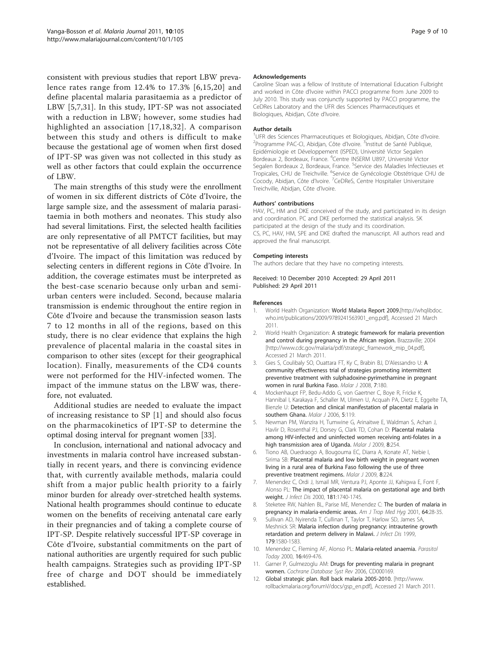<span id="page-8-0"></span>consistent with previous studies that report LBW prevalence rates range from 12.4% to 17.3% [6,[15](#page-9-0),[20\]](#page-9-0) and define placental malaria parasitaemia as a predictor of LBW [5,7,[31\]](#page-9-0). In this study, IPT-SP was not associated with a reduction in LBW; however, some studies had highlighted an association [[17,18](#page-9-0),[32](#page-9-0)]. A comparison between this study and others is difficult to make because the gestational age of women when first dosed of IPT-SP was given was not collected in this study as well as other factors that could explain the occurrence of LBW.

The main strengths of this study were the enrollment of women in six different districts of Côte d'Ivoire, the large sample size, and the assessment of malaria parasitaemia in both mothers and neonates. This study also had several limitations. First, the selected health facilities are only representative of all PMTCT facilities, but may not be representative of all delivery facilities across Côte d'Ivoire. The impact of this limitation was reduced by selecting centers in different regions in Côte d'Ivoire. In addition, the coverage estimates must be interpreted as the best-case scenario because only urban and semiurban centers were included. Second, because malaria transmission is endemic throughout the entire region in Côte d'Ivoire and because the transmission season lasts 7 to 12 months in all of the regions, based on this study, there is no clear evidence that explains the high prevalence of placental malaria in the coastal sites in comparison to other sites (except for their geographical location). Finally, measurements of the CD4 counts were not performed for the HIV-infected women. The impact of the immune status on the LBW was, therefore, not evaluated.

Additional studies are needed to evaluate the impact of increasing resistance to SP [1] and should also focus on the pharmacokinetics of IPT-SP to determine the optimal dosing interval for pregnant women [\[33\]](#page-9-0).

In conclusion, international and national advocacy and investments in malaria control have increased substantially in recent years, and there is convincing evidence that, with currently available methods, malaria could shift from a major public health priority to a fairly minor burden for already over-stretched health systems. National health programmes should continue to educate women on the benefits of receiving antenatal care early in their pregnancies and of taking a complete course of IPT-SP. Despite relatively successful IPT-SP coverage in Côte d'Ivoire, substantial commitments on the part of national authorities are urgently required for such public health campaigns. Strategies such as providing IPT-SP free of charge and DOT should be immediately established.

#### Acknowledgements

Caroline Sloan was a fellow of Institute of International Education Fulbright and worked in Côte d'Ivoire within PACCI programme from June 2009 to July 2010. This study was conjunctly supported by PACCI programme, the CeDRes Laboratory and the UFR des Sciences Pharmaceutiques et Biologiques, Abidjan, Côte d'Ivoire.

#### Author details

<sup>1</sup>UFR des Sciences Pharmaceutiques et Biologiques, Abidjan, Côte d'Ivoire.<br><sup>2</sup>Programme RAC CL Abidian, Côte d'Ivoire. <sup>3</sup>Institut de Santé Publique. Programme PAC-CI, Abidjan, Côte d'Ivoire. <sup>3</sup>Institut de Santé Publique, Epidémiologie et Développement (ISPED), Université Victor Segalen Bordeaux 2, Bordeaux, France. <sup>4</sup> Centre INSERM U897, Université Victor Segalen Bordeaux 2, Bordeaux, France. <sup>5</sup>Service des Maladies Infectieuses et Tropicales, CHU de Treichville. <sup>6</sup>Service de Gynécologie Obstétrique CHU de Cocody, Abidjan, Côte d'Ivoire. <sup>7</sup>CeDReS, Centre Hospitalier Universitaire Treichville, Abidjan, Côte d'Ivoire.

#### Authors' contributions

HAV, PC, HM and DKE conceived of the study, and participated in its design and coordination. PC and DKE performed the statistical analysis. SK participated at the design of the study and its coordination. CS, PC, HAV, HM, SPE and DKE drafted the manuscript. All authors read and approved the final manuscript.

#### Competing interests

The authors declare that they have no competing interests.

Received: 10 December 2010 Accepted: 29 April 2011 Published: 29 April 2011

#### References

- World Health Organization: World Malaria Report 2009.[\[http://whqlibdoc.](http://whqlibdoc.who.int/publications/2009/9789241563901_eng.pdf) [who.int/publications/2009/9789241563901\\_eng.pdf\]](http://whqlibdoc.who.int/publications/2009/9789241563901_eng.pdf), Accessed 21 March 2011.
- 2. World Health Organization: A strategic framework for malaria prevention and control during pregnancy in the African region. Brazzaville; 2004 [[http://www.cdc.gov/malaria/pdf/strategic\\_framework\\_mip\\_04.pdf](http://www.cdc.gov/malaria/pdf/strategic_framework_mip_04.pdf)], Accessed 21 March 2011.
- 3. Gies S, Coulibaly SO, Ouattara FT, Ky C, Brabin BJ, D'Alessandro U: [A](http://www.ncbi.nlm.nih.gov/pubmed/18801158?dopt=Abstract) [community effectiveness trial of strategies promoting intermittent](http://www.ncbi.nlm.nih.gov/pubmed/18801158?dopt=Abstract) [preventive treatment with sulphadoxine-pyrimethamine in pregnant](http://www.ncbi.nlm.nih.gov/pubmed/18801158?dopt=Abstract) [women in rural Burkina Faso.](http://www.ncbi.nlm.nih.gov/pubmed/18801158?dopt=Abstract) Malar J 2008, 7:180.
- 4. Mockenhaupt FP, Bedu-Addo G, von Gaertner C, Boye R, Fricke K, Hannibal I, Karakaya F, Schaller M, Ulmen U, Acquah PA, Dietz E, Eggelte TA, Bienzle U: [Detection and clinical manifestation of placental malaria in](http://www.ncbi.nlm.nih.gov/pubmed/17166266?dopt=Abstract) [southern Ghana.](http://www.ncbi.nlm.nih.gov/pubmed/17166266?dopt=Abstract) Malar J 2006, 5:119.
- 5. Newman PM, Wanzira H, Tumwine G, Arinaitwe E, Waldman S, Achan J, Havlir D, Rosenthal PJ, Dorsey G, Clark TD, Cohan D: [Placental malaria](http://www.ncbi.nlm.nih.gov/pubmed/19912657?dopt=Abstract) [among HIV-infected and uninfected women receiving anti-folates in a](http://www.ncbi.nlm.nih.gov/pubmed/19912657?dopt=Abstract) [high transmission area of Uganda.](http://www.ncbi.nlm.nih.gov/pubmed/19912657?dopt=Abstract) Malar J 2009, 8:254.
- 6. Tiono AB, Ouedraogo A, Bougouma EC, Diarra A, Konate AT, Nebie I, Sirima SB: [Placental malaria and low birth weight in pregnant women](http://www.ncbi.nlm.nih.gov/pubmed/19811649?dopt=Abstract) [living in a rural area of Burkina Faso following the use of three](http://www.ncbi.nlm.nih.gov/pubmed/19811649?dopt=Abstract) [preventive treatment regimens.](http://www.ncbi.nlm.nih.gov/pubmed/19811649?dopt=Abstract) Malar J 2009, 8:224
- 7. Menendez C, Ordi J, Ismail MR, Ventura PJ, Aponte JJ, Kahigwa E, Font F, Alonso PL: [The impact of placental malaria on gestational age and birth](http://www.ncbi.nlm.nih.gov/pubmed/10823776?dopt=Abstract) [weight.](http://www.ncbi.nlm.nih.gov/pubmed/10823776?dopt=Abstract) J Infect Dis 2000, 181:1740-1745.
- 8. Steketee RW, Nahlen BL, Parise ME, Menendez C: [The burden of malaria in](http://www.ncbi.nlm.nih.gov/pubmed/11425175?dopt=Abstract) [pregnancy in malaria-endemic areas.](http://www.ncbi.nlm.nih.gov/pubmed/11425175?dopt=Abstract) Am J Trop Med Hyg 2001, 64:28-35.
- 9. Sullivan AD, Nyirenda T, Cullinan T, Taylor T, Harlow SD, James SA, Meshnick SR: [Malaria infection during pregnancy: intrauterine growth](http://www.ncbi.nlm.nih.gov/pubmed/10228088?dopt=Abstract) [retardation and preterm delivery in Malawi.](http://www.ncbi.nlm.nih.gov/pubmed/10228088?dopt=Abstract) J Infect Dis 1999, 179:1580-1583.
- 10. Menendez C, Fleming AF, Alonso PL: [Malaria-related anaemia.](http://www.ncbi.nlm.nih.gov/pubmed/11063857?dopt=Abstract) Parasitol Today 2000, 16:469-476.
- 11. Garner P, Gulmezoglu AM: Drugs for preventing malaria in pregnant women. Cochrane Database Syst Rev 2006, CD000169.
- 12. Global strategic plan. Roll back malaria 2005-2010. [[http://www.](http://www.rollbackmalaria.org/forumV/docs/gsp_en.pdf) [rollbackmalaria.org/forumV/docs/gsp\\_en.pdf\]](http://www.rollbackmalaria.org/forumV/docs/gsp_en.pdf), Accessed 21 March 2011.